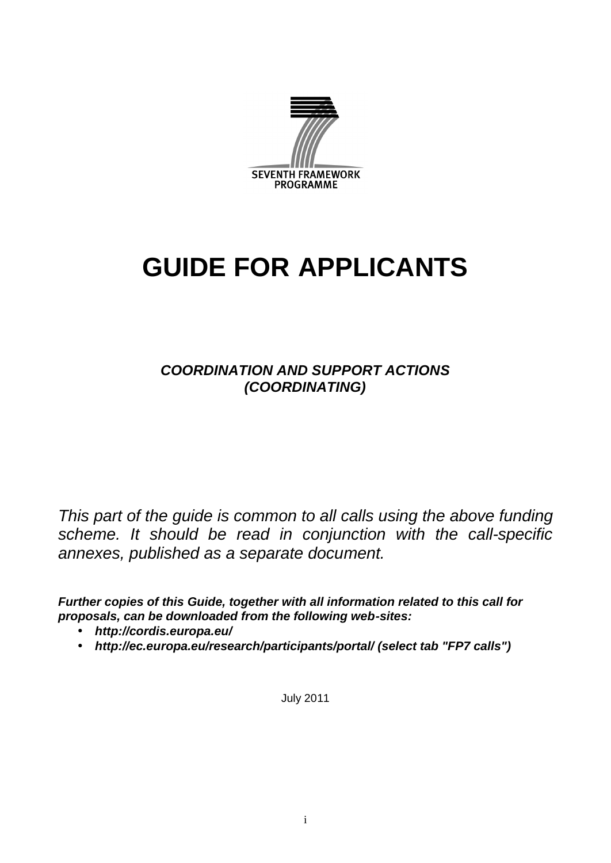

# **GUIDE FOR APPLICANTS**

# *COORDINATION AND SUPPORT ACTIONS (COORDINATING)*

*This part of the guide is common to all calls using the above funding scheme. It should be read in conjunction with the call-specific annexes, published as a separate document.*

*Further copies of this Guide, together with all information related to this call for proposals, can be downloaded from the following web-sites:*

- *http://cordis.europa.eu/*
- *http://ec.europa.eu/research/participants/portal/ (select tab "FP7 calls")*

July 2011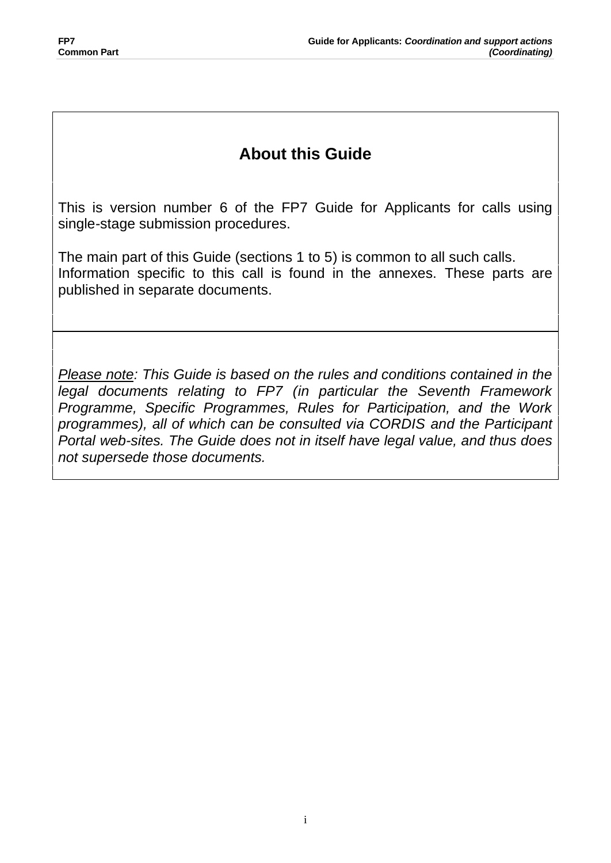# **About this Guide**

This is version number 6 of the FP7 Guide for Applicants for calls using single-stage submission procedures.

The main part of this Guide (sections 1 to 5) is common to all such calls. Information specific to this call is found in the annexes. These parts are published in separate documents.

*Please note: This Guide is based on the rules and conditions contained in the legal documents relating to FP7 (in particular the Seventh Framework Programme, Specific Programmes, Rules for Participation, and the Work programmes), all of which can be consulted via CORDIS and the Participant Portal web-sites. The Guide does not in itself have legal value, and thus does not supersede those documents.*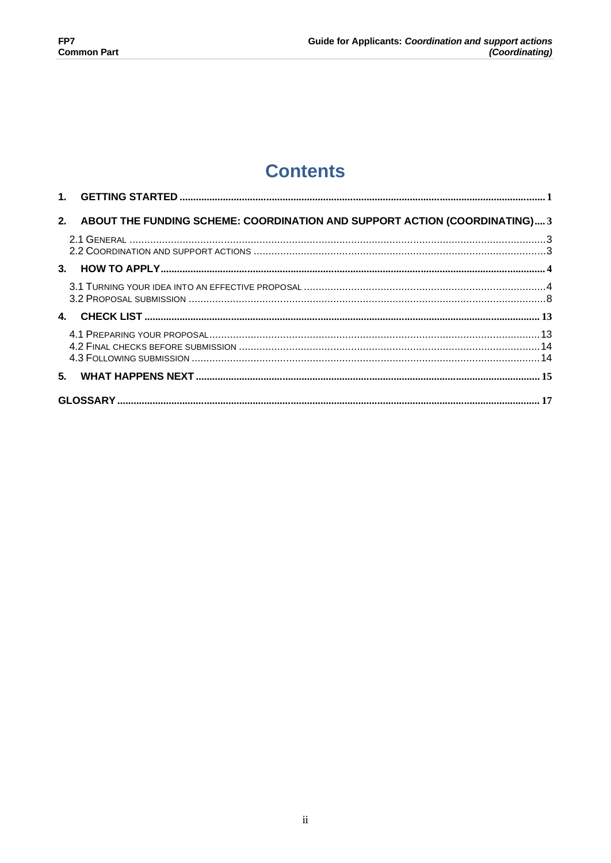# **Contents**

|  | 2. ABOUT THE FUNDING SCHEME: COORDINATION AND SUPPORT ACTION (COORDINATING) 3 |  |
|--|-------------------------------------------------------------------------------|--|
|  |                                                                               |  |
|  |                                                                               |  |
|  |                                                                               |  |
|  |                                                                               |  |
|  |                                                                               |  |
|  |                                                                               |  |
|  |                                                                               |  |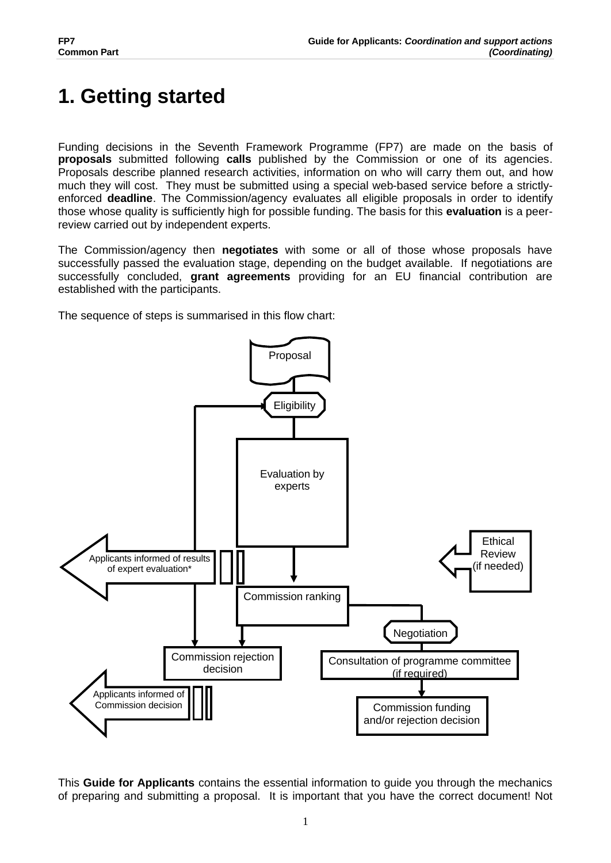# **1. Getting started**

Funding decisions in the Seventh Framework Programme (FP7) are made on the basis of **proposals** submitted following **calls** published by the Commission or one of its agencies. Proposals describe planned research activities, information on who will carry them out, and how much they will cost. They must be submitted using a special web-based service before a strictlyenforced **deadline**. The Commission/agency evaluates all eligible proposals in order to identify those whose quality is sufficiently high for possible funding. The basis for this **evaluation** is a peerreview carried out by independent experts.

The Commission/agency then **negotiates** with some or all of those whose proposals have successfully passed the evaluation stage, depending on the budget available. If negotiations are successfully concluded, **grant agreements** providing for an EU financial contribution are established with the participants.

The sequence of steps is summarised in this flow chart:



This **Guide for Applicants** contains the essential information to guide you through the mechanics of preparing and submitting a proposal. It is important that you have the correct document! Not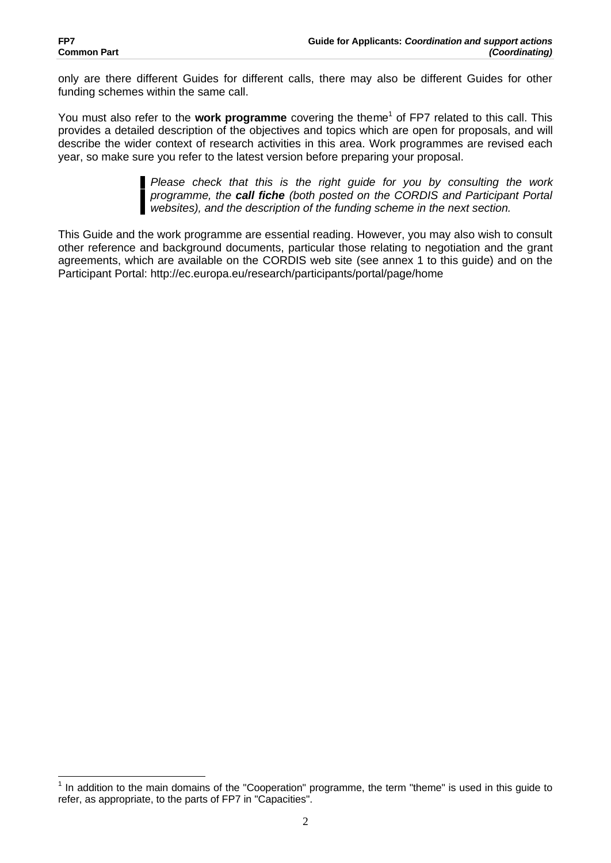$\overline{a}$ 

only are there different Guides for different calls, there may also be different Guides for other funding schemes within the same call.

You must also refer to the work programme covering the theme<sup>1</sup> of FP7 related to this call. This provides a detailed description of the objectives and topics which are open for proposals, and will describe the wider context of research activities in this area. Work programmes are revised each year, so make sure you refer to the latest version before preparing your proposal.

> *Please check that this is the right guide for you by consulting the work programme, the call fiche (both posted on the CORDIS and Participant Portal websites), and the description of the funding scheme in the next section.*

This Guide and the work programme are essential reading. However, you may also wish to consult other reference and background documents, particular those relating to negotiation and the grant agreements, which are available on the CORDIS web site (see annex 1 to this guide) and on the Participant Portal: http://ec.europa.eu/research/participants/portal/page/home

<sup>&</sup>lt;sup>1</sup> In addition to the main domains of the "Cooperation" programme, the term "theme" is used in this guide to refer, as appropriate, to the parts of FP7 in "Capacities".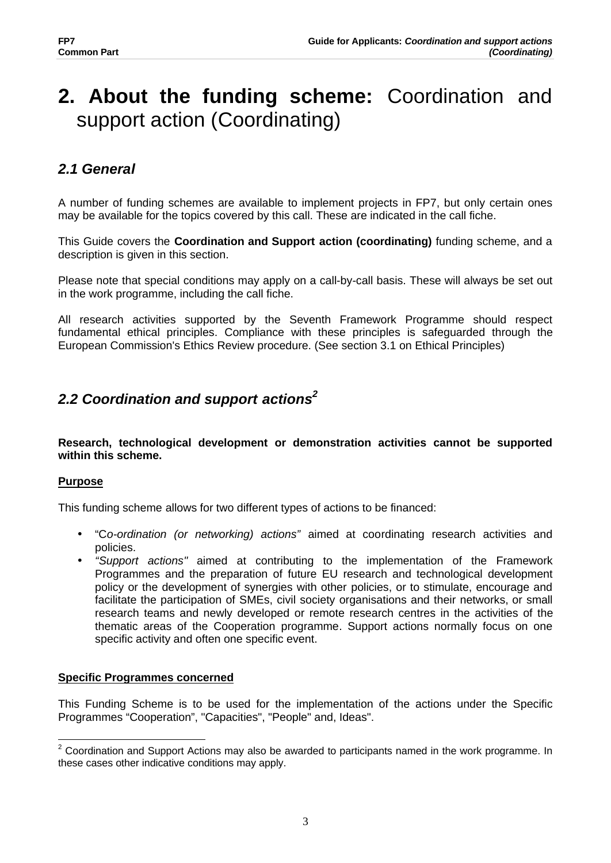# **2. About the funding scheme:** Coordination and support action (Coordinating)

# *2.1 General*

A number of funding schemes are available to implement projects in FP7, but only certain ones may be available for the topics covered by this call. These are indicated in the call fiche.

This Guide covers the **Coordination and Support action (coordinating)** funding scheme, and a description is given in this section.

Please note that special conditions may apply on a call-by-call basis. These will always be set out in the work programme, including the call fiche.

All research activities supported by the Seventh Framework Programme should respect fundamental ethical principles. Compliance with these principles is safeguarded through the European Commission's Ethics Review procedure. (See section 3.1 on Ethical Principles)

# *2.2 Coordination and support actions<sup>2</sup>*

**Research, technological development or demonstration activities cannot be supported within this scheme.**

## **Purpose**

This funding scheme allows for two different types of actions to be financed:

- "C*o-ordination (or networking) actions"* aimed at coordinating research activities and policies.
- *"Support actions"* aimed at contributing to the implementation of the Framework Programmes and the preparation of future EU research and technological development policy or the development of synergies with other policies, or to stimulate, encourage and facilitate the participation of SMEs, civil society organisations and their networks, or small research teams and newly developed or remote research centres in the activities of the thematic areas of the Cooperation programme. Support actions normally focus on one specific activity and often one specific event.

## **Specific Programmes concerned**

This Funding Scheme is to be used for the implementation of the actions under the Specific Programmes "Cooperation", "Capacities", "People" and, Ideas".

 $\overline{a}$  $2$  Coordination and Support Actions may also be awarded to participants named in the work programme. In these cases other indicative conditions may apply.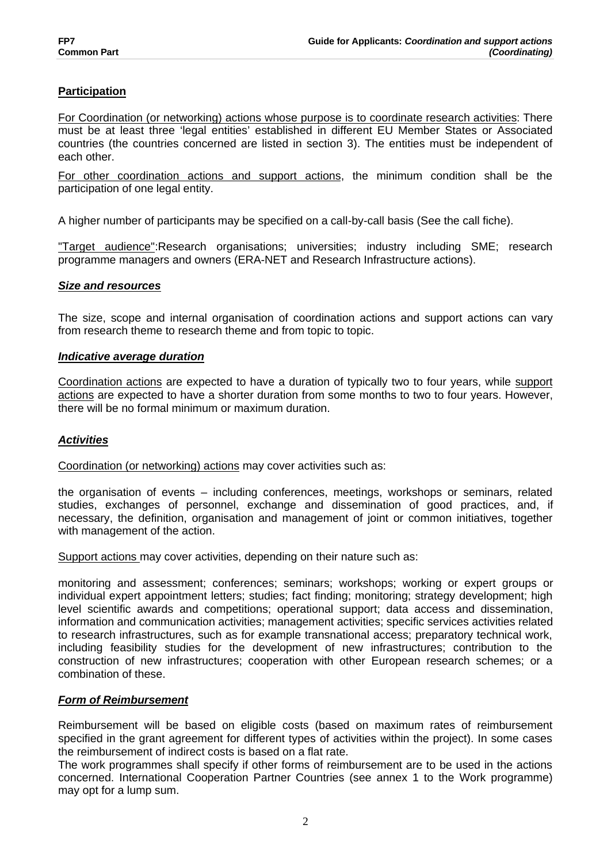## **Participation**

For Coordination (or networking) actions whose purpose is to coordinate research activities: There must be at least three 'legal entities' established in different EU Member States or Associated countries (the countries concerned are listed in section 3). The entities must be independent of each other.

For other coordination actions and support actions, the minimum condition shall be the participation of one legal entity.

A higher number of participants may be specified on a call-by-call basis (See the call fiche).

"Target audience":Research organisations; universities; industry including SME; research programme managers and owners (ERA-NET and Research Infrastructure actions).

## *Size and resources*

The size, scope and internal organisation of coordination actions and support actions can vary from research theme to research theme and from topic to topic.

#### *Indicative average duration*

Coordination actions are expected to have a duration of typically two to four years, while support actions are expected to have a shorter duration from some months to two to four years. However, there will be no formal minimum or maximum duration.

## *Activities*

Coordination (or networking) actions may cover activities such as:

the organisation of events – including conferences, meetings, workshops or seminars, related studies, exchanges of personnel, exchange and dissemination of good practices, and, if necessary, the definition, organisation and management of joint or common initiatives, together with management of the action.

Support actions may cover activities, depending on their nature such as:

monitoring and assessment; conferences; seminars; workshops; working or expert groups or individual expert appointment letters; studies; fact finding; monitoring; strategy development; high level scientific awards and competitions; operational support; data access and dissemination, information and communication activities; management activities; specific services activities related to research infrastructures, such as for example transnational access; preparatory technical work, including feasibility studies for the development of new infrastructures; contribution to the construction of new infrastructures; cooperation with other European research schemes; or a combination of these.

#### *Form of Reimbursement*

Reimbursement will be based on eligible costs (based on maximum rates of reimbursement specified in the grant agreement for different types of activities within the project). In some cases the reimbursement of indirect costs is based on a flat rate.

The work programmes shall specify if other forms of reimbursement are to be used in the actions concerned. International Cooperation Partner Countries (see annex 1 to the Work programme) may opt for a lump sum.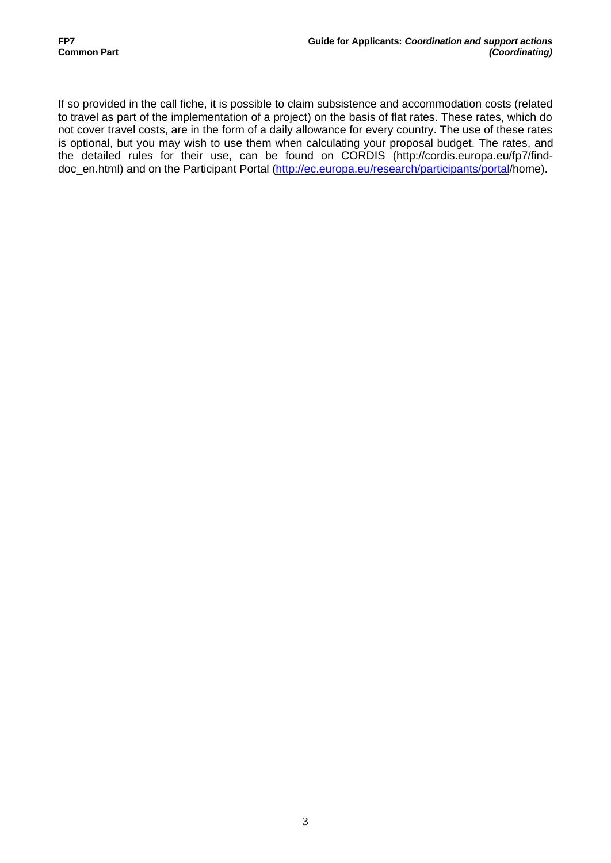If so provided in the call fiche, it is possible to claim subsistence and accommodation costs (related to travel as part of the implementation of a project) on the basis of flat rates. These rates, which do not cover travel costs, are in the form of a daily allowance for every country. The use of these rates is optional, but you may wish to use them when calculating your proposal budget. The rates, and the detailed rules for their use, can be found on CORDIS (http://cordis.europa.eu/fp7/finddoc\_en.html) and on the Participant Portal (http://ec.europa.eu/research/participants/portal/home).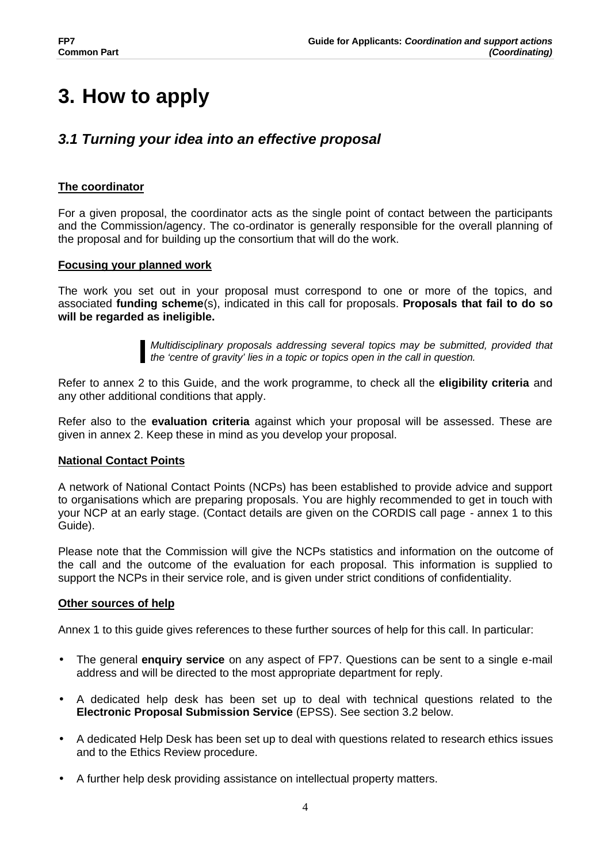# **3. How to apply**

# *3.1 Turning your idea into an effective proposal*

# **The coordinator**

For a given proposal, the coordinator acts as the single point of contact between the participants and the Commission/agency. The co-ordinator is generally responsible for the overall planning of the proposal and for building up the consortium that will do the work.

## **Focusing your planned work**

The work you set out in your proposal must correspond to one or more of the topics, and associated **funding scheme**(s), indicated in this call for proposals. **Proposals that fail to do so will be regarded as ineligible.** 

> *Multidisciplinary proposals addressing several topics may be submitted, provided that the 'centre of gravity' lies in a topic or topics open in the call in question.*

Refer to annex 2 to this Guide, and the work programme, to check all the **eligibility criteria** and any other additional conditions that apply.

Refer also to the **evaluation criteria** against which your proposal will be assessed. These are given in annex 2. Keep these in mind as you develop your proposal.

## **National Contact Points**

A network of National Contact Points (NCPs) has been established to provide advice and support to organisations which are preparing proposals. You are highly recommended to get in touch with your NCP at an early stage. (Contact details are given on the CORDIS call page - annex 1 to this Guide).

Please note that the Commission will give the NCPs statistics and information on the outcome of the call and the outcome of the evaluation for each proposal. This information is supplied to support the NCPs in their service role, and is given under strict conditions of confidentiality.

## **Other sources of help**

Annex 1 to this guide gives references to these further sources of help for this call. In particular:

- The general **enquiry service** on any aspect of FP7. Questions can be sent to a single e-mail address and will be directed to the most appropriate department for reply.
- A dedicated help desk has been set up to deal with technical questions related to the **Electronic Proposal Submission Service** (EPSS). See section 3.2 below.
- A dedicated Help Desk has been set up to deal with questions related to research ethics issues and to the Ethics Review procedure.
- A further help desk providing assistance on intellectual property matters.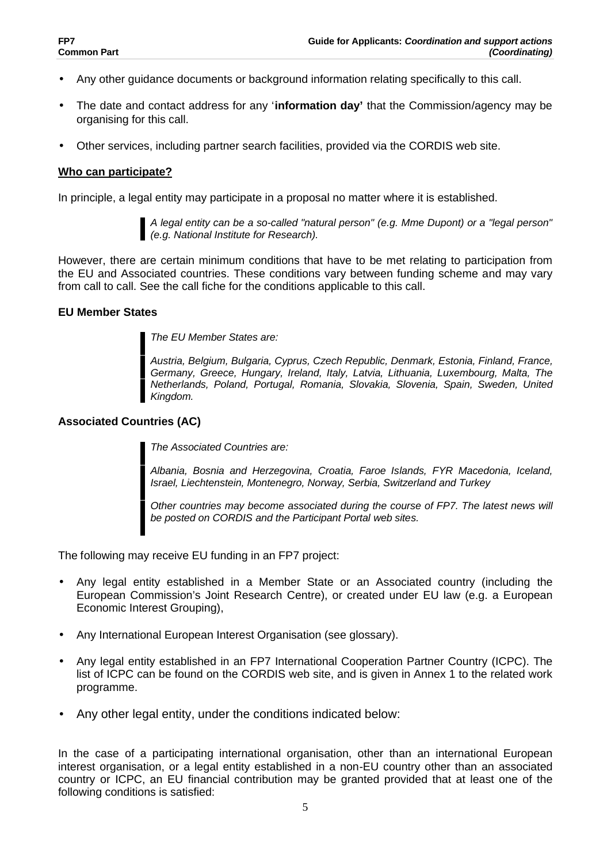- Any other guidance documents or background information relating specifically to this call.
- The date and contact address for any '**information day'** that the Commission/agency may be organising for this call.
- Other services, including partner search facilities, provided via the CORDIS web site.

#### **Who can participate?**

In principle, a legal entity may participate in a proposal no matter where it is established.

*A legal entity can be a so-called "natural person" (e.g. Mme Dupont) or a "legal person" (e.g. National Institute for Research).*

However, there are certain minimum conditions that have to be met relating to participation from the EU and Associated countries. These conditions vary between funding scheme and may vary from call to call. See the call fiche for the conditions applicable to this call.

#### **EU Member States**

*The EU Member States are:*

*Austria, Belgium, Bulgaria, Cyprus, Czech Republic, Denmark, Estonia, Finland, France, Germany, Greece, Hungary, Ireland, Italy, Latvia, Lithuania, Luxembourg, Malta, The Netherlands, Poland, Portugal, Romania, Slovakia, Slovenia, Spain, Sweden, United Kingdom.* 

#### **Associated Countries (AC)**

*The Associated Countries are:*

*Albania, Bosnia and Herzegovina, Croatia, Faroe Islands, FYR Macedonia, Iceland, Israel, Liechtenstein, Montenegro, Norway, Serbia, Switzerland and Turkey*

*Other countries may become associated during the course of FP7. The latest news will be posted on CORDIS and the Participant Portal web sites.*

The following may receive EU funding in an FP7 project:

- Any legal entity established in a Member State or an Associated country (including the European Commission's Joint Research Centre), or created under EU law (e.g. a European Economic Interest Grouping),
- Any International European Interest Organisation (see glossary).
- Any legal entity established in an FP7 International Cooperation Partner Country (ICPC). The list of ICPC can be found on the CORDIS web site, and is given in Annex 1 to the related work programme.
- Any other legal entity, under the conditions indicated below:

In the case of a participating international organisation, other than an international European interest organisation, or a legal entity established in a non-EU country other than an associated country or ICPC, an EU financial contribution may be granted provided that at least one of the following conditions is satisfied: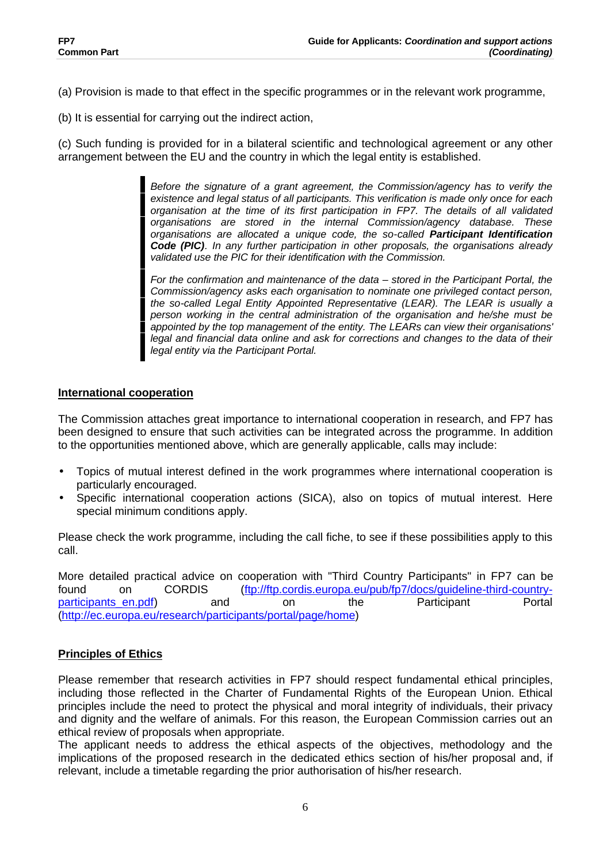- (a) Provision is made to that effect in the specific programmes or in the relevant work programme,
- (b) It is essential for carrying out the indirect action,

(c) Such funding is provided for in a bilateral scientific and technological agreement or any other arrangement between the EU and the country in which the legal entity is established.

> *Before the signature of a grant agreement, the Commission/agency has to verify the existence and legal status of all participants. This verification is made only once for each organisation at the time of its first participation in FP7. The details of all validated organisations are stored in the internal Commission/agency database. These organisations are allocated a unique code, the so-called Participant Identification Code (PIC). In any further participation in other proposals, the organisations already validated use the PIC for their identification with the Commission.*

> *For the confirmation and maintenance of the data – stored in the Participant Portal, the Commission/agency asks each organisation to nominate one privileged contact person, the so-called Legal Entity Appointed Representative (LEAR). The LEAR is usually a person working in the central administration of the organisation and he/she must be appointed by the top management of the entity. The LEARs can view their organisations' legal and financial data online and ask for corrections and changes to the data of their legal entity via the Participant Portal.*

## **International cooperation**

The Commission attaches great importance to international cooperation in research, and FP7 has been designed to ensure that such activities can be integrated across the programme. In addition to the opportunities mentioned above, which are generally applicable, calls may include:

- Topics of mutual interest defined in the work programmes where international cooperation is particularly encouraged.
- Specific international cooperation actions (SICA), also on topics of mutual interest. Here special minimum conditions apply.

Please check the work programme, including the call fiche, to see if these possibilities apply to this call.

More detailed practical advice on cooperation with "Third Country Participants" in FP7 can be found on CORDIS (ftp://ftp.cordis.europa.eu/pub/fp7/docs/guideline-third-countryparticipants\_en.pdf) and on the Participant Portal (http://ec.europa.eu/research/participants/portal/page/home)

## **Principles of Ethics**

Please remember that research activities in FP7 should respect fundamental ethical principles, including those reflected in the Charter of Fundamental Rights of the European Union. Ethical principles include the need to protect the physical and moral integrity of individuals, their privacy and dignity and the welfare of animals. For this reason, the European Commission carries out an ethical review of proposals when appropriate.

The applicant needs to address the ethical aspects of the objectives, methodology and the implications of the proposed research in the dedicated ethics section of his/her proposal and, if relevant, include a timetable regarding the prior authorisation of his/her research.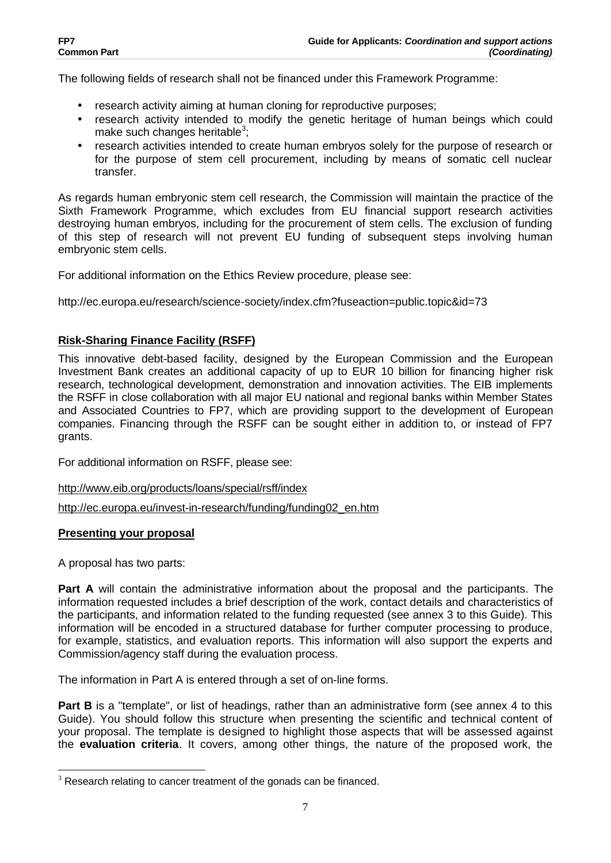The following fields of research shall not be financed under this Framework Programme:

- research activity aiming at human cloning for reproductive purposes;
- research activity intended to modify the genetic heritage of human beings which could make such changes heritable<sup>3</sup>;
- research activities intended to create human embryos solely for the purpose of research or for the purpose of stem cell procurement, including by means of somatic cell nuclear transfer.

As regards human embryonic stem cell research, the Commission will maintain the practice of the Sixth Framework Programme, which excludes from EU financial support research activities destroying human embryos, including for the procurement of stem cells. The exclusion of funding of this step of research will not prevent EU funding of subsequent steps involving human embryonic stem cells.

For additional information on the Ethics Review procedure, please see:

http://ec.europa.eu/research/science-society/index.cfm?fuseaction=public.topic&id=73

## **Risk-Sharing Finance Facility (RSFF)**

This innovative debt-based facility, designed by the European Commission and the European Investment Bank creates an additional capacity of up to EUR 10 billion for financing higher risk research, technological development, demonstration and innovation activities. The EIB implements the RSFF in close collaboration with all major EU national and regional banks within Member States and Associated Countries to FP7, which are providing support to the development of European companies. Financing through the RSFF can be sought either in addition to, or instead of FP7 grants.

For additional information on RSFF, please see:

http://www.eib.org/products/loans/special/rsff/index

http://ec.europa.eu/invest-in-research/funding/funding02\_en.htm

## **Presenting your proposal**

A proposal has two parts:

 $\overline{a}$ 

**Part A** will contain the administrative information about the proposal and the participants. The information requested includes a brief description of the work, contact details and characteristics of the participants, and information related to the funding requested (see annex 3 to this Guide). This information will be encoded in a structured database for further computer processing to produce, for example, statistics, and evaluation reports. This information will also support the experts and Commission/agency staff during the evaluation process.

The information in Part A is entered through a set of on-line forms.

**Part B** is a "template", or list of headings, rather than an administrative form (see annex 4 to this Guide). You should follow this structure when presenting the scientific and technical content of your proposal. The template is designed to highlight those aspects that will be assessed against the **evaluation criteria**. It covers, among other things, the nature of the proposed work, the

 $3$  Research relating to cancer treatment of the gonads can be financed.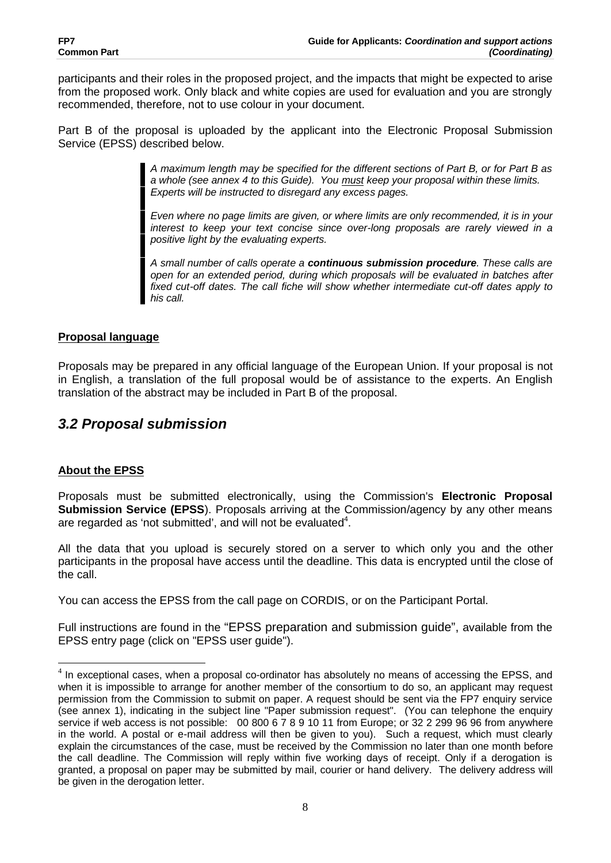participants and their roles in the proposed project, and the impacts that might be expected to arise from the proposed work. Only black and white copies are used for evaluation and you are strongly recommended, therefore, not to use colour in your document.

Part B of the proposal is uploaded by the applicant into the Electronic Proposal Submission Service (EPSS) described below.

> *A maximum length may be specified for the different sections of Part B, or for Part B as a whole (see annex 4 to this Guide). You must keep your proposal within these limits. Experts will be instructed to disregard any excess pages.*

> *Even where no page limits are given, or where limits are only recommended, it is in your interest to keep your text concise since over-long proposals are rarely viewed in a positive light by the evaluating experts.*

> *A small number of calls operate a continuous submission procedure. These calls are open for an extended period, during which proposals will be evaluated in batches after fixed cut-off dates. The call fiche will show whether intermediate cut-off dates apply to his call.*

## **Proposal language**

Proposals may be prepared in any official language of the European Union. If your proposal is not in English, a translation of the full proposal would be of assistance to the experts. An English translation of the abstract may be included in Part B of the proposal.

# *3.2 Proposal submission*

## **About the EPSS**

Proposals must be submitted electronically, using the Commission's **Electronic Proposal Submission Service (EPSS**). Proposals arriving at the Commission/agency by any other means are regarded as 'not submitted', and will not be evaluated $4$ .

All the data that you upload is securely stored on a server to which only you and the other participants in the proposal have access until the deadline. This data is encrypted until the close of the call.

You can access the EPSS from the call page on CORDIS, or on the Participant Portal.

Full instructions are found in the "EPSS preparation and submission guide", available from the EPSS entry page (click on "EPSS user guide").

<sup>&</sup>lt;u>destigated in the correctional cases, when a proposal co-ordinator has absolutely no means of accessing the EPSS, and the system of the set of the set of the set of the set of the set of the set of the set of the set of t</u> when it is impossible to arrange for another member of the consortium to do so, an applicant may request permission from the Commission to submit on paper. A request should be sent via the FP7 enquiry service (see annex 1), indicating in the subject line "Paper submission request". (You can telephone the enquiry service if web access is not possible: 00 800 6 7 8 9 10 11 from Europe; or 32 2 299 96 96 from anywhere in the world. A postal or e-mail address will then be given to you). Such a request, which must clearly explain the circumstances of the case, must be received by the Commission no later than one month before the call deadline. The Commission will reply within five working days of receipt. Only if a derogation is granted, a proposal on paper may be submitted by mail, courier or hand delivery. The delivery address will be given in the derogation letter.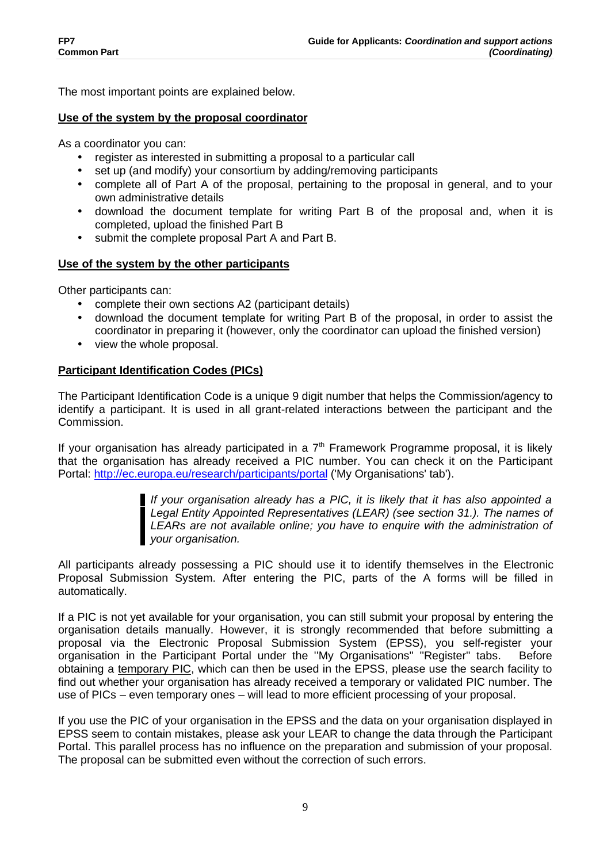The most important points are explained below.

## **Use of the system by the proposal coordinator**

As a coordinator you can:

- register as interested in submitting a proposal to a particular call
- set up (and modify) your consortium by adding/removing participants
- complete all of Part A of the proposal, pertaining to the proposal in general, and to your own administrative details
- download the document template for writing Part B of the proposal and, when it is completed, upload the finished Part B
- submit the complete proposal Part A and Part B.

## **Use of the system by the other participants**

Other participants can:

- complete their own sections A2 (participant details)
- download the document template for writing Part B of the proposal, in order to assist the coordinator in preparing it (however, only the coordinator can upload the finished version)
- view the whole proposal.

## **Participant Identification Codes (PICs)**

The Participant Identification Code is a unique 9 digit number that helps the Commission/agency to identify a participant. It is used in all grant-related interactions between the participant and the Commission.

If your organisation has already participated in a  $7<sup>th</sup>$  Framework Programme proposal, it is likely that the organisation has already received a PIC number. You can check it on the Participant Portal: http://ec.europa.eu/research/participants/portal ('My Organisations' tab').

> *If your organisation already has a PIC, it is likely that it has also appointed a Legal Entity Appointed Representatives (LEAR) (see section 31.). The names of*  LEARs are not available online; you have to enquire with the administration of *your organisation.*

All participants already possessing a PIC should use it to identify themselves in the Electronic Proposal Submission System. After entering the PIC, parts of the A forms will be filled in automatically.

If a PIC is not yet available for your organisation, you can still submit your proposal by entering the organisation details manually. However, it is strongly recommended that before submitting a proposal via the Electronic Proposal Submission System (EPSS), you self-register your organisation in the Participant Portal under the "My Organisations" "Register" tabs. Before obtaining a temporary PIC, which can then be used in the EPSS, please use the search facility to find out whether your organisation has already received a temporary or validated PIC number. The use of PICs – even temporary ones – will lead to more efficient processing of your proposal.

If you use the PIC of your organisation in the EPSS and the data on your organisation displayed in EPSS seem to contain mistakes, please ask your LEAR to change the data through the Participant Portal. This parallel process has no influence on the preparation and submission of your proposal. The proposal can be submitted even without the correction of such errors.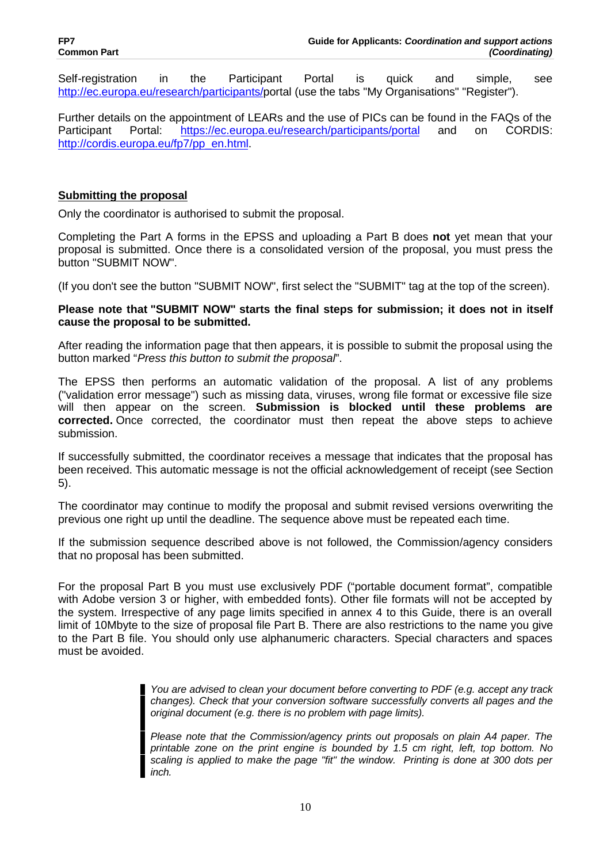Self-registration in the Participant Portal is quick and simple, see http://ec.europa.eu/research/participants/portal (use the tabs "My Organisations" "Register").

Further details on the appointment of LEARs and the use of PICs can be found in the FAQs of the Participant Portal: https://ec.europa.eu/research/participants/portal and on CORDIS: http://cordis.europa.eu/fp7/pp\_en.html.

## **Submitting the proposal**

Only the coordinator is authorised to submit the proposal.

Completing the Part A forms in the EPSS and uploading a Part B does **not** yet mean that your proposal is submitted. Once there is a consolidated version of the proposal, you must press the button "SUBMIT NOW".

(If you don't see the button "SUBMIT NOW", first select the "SUBMIT" tag at the top of the screen).

### **Please note that "SUBMIT NOW" starts the final steps for submission; it does not in itself cause the proposal to be submitted.**

After reading the information page that then appears, it is possible to submit the proposal using the button marked "*Press this button to submit the proposal*".

The EPSS then performs an automatic validation of the proposal. A list of any problems ("validation error message") such as missing data, viruses, wrong file format or excessive file size will then appear on the screen. **Submission is blocked until these problems are corrected.** Once corrected, the coordinator must then repeat the above steps to achieve submission.

If successfully submitted, the coordinator receives a message that indicates that the proposal has been received. This automatic message is not the official acknowledgement of receipt (see Section 5).

The coordinator may continue to modify the proposal and submit revised versions overwriting the previous one right up until the deadline. The sequence above must be repeated each time.

If the submission sequence described above is not followed, the Commission/agency considers that no proposal has been submitted.

For the proposal Part B you must use exclusively PDF ("portable document format", compatible with Adobe version 3 or higher, with embedded fonts). Other file formats will not be accepted by the system. Irrespective of any page limits specified in annex 4 to this Guide, there is an overall limit of 10Mbyte to the size of proposal file Part B. There are also restrictions to the name you give to the Part B file. You should only use alphanumeric characters. Special characters and spaces must be avoided.

> *You are advised to clean your document before converting to PDF (e.g. accept any track changes). Check that your conversion software successfully converts all pages and the original document (e.g. there is no problem with page limits).*

> *Please note that the Commission/agency prints out proposals on plain A4 paper. The printable zone on the print engine is bounded by 1.5 cm right, left, top bottom. No scaling is applied to make the page "fit" the window. Printing is done at 300 dots per inch.*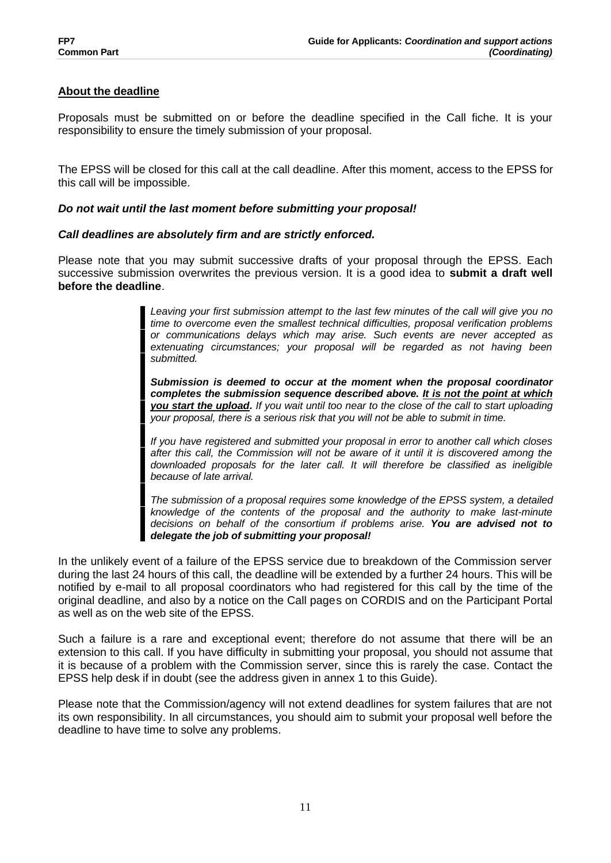## **About the deadline**

Proposals must be submitted on or before the deadline specified in the Call fiche. It is your responsibility to ensure the timely submission of your proposal.

The EPSS will be closed for this call at the call deadline. After this moment, access to the EPSS for this call will be impossible.

### *Do not wait until the last moment before submitting your proposal!*

#### *Call deadlines are absolutely firm and are strictly enforced.*

Please note that you may submit successive drafts of your proposal through the EPSS. Each successive submission overwrites the previous version. It is a good idea to **submit a draft well before the deadline**.

> *Leaving your first submission attempt to the last few minutes of the call will give you no time to overcome even the smallest technical difficulties, proposal verification problems or communications delays which may arise. Such events are never accepted as extenuating circumstances; your proposal will be regarded as not having been submitted.*

> *Submission is deemed to occur at the moment when the proposal coordinator completes the submission sequence described above. It is not the point at which you start the upload. If you wait until too near to the close of the call to start uploading your proposal, there is a serious risk that you will not be able to submit in time.*

> *If you have registered and submitted your proposal in error to another call which closes after this call, the Commission will not be aware of it until it is discovered among the downloaded proposals for the later call. It will therefore be classified as ineligible because of late arrival.*

> *The submission of a proposal requires some knowledge of the EPSS system, a detailed knowledge of the contents of the proposal and the authority to make last-minute decisions on behalf of the consortium if problems arise. You are advised not to delegate the job of submitting your proposal!*

In the unlikely event of a failure of the EPSS service due to breakdown of the Commission server during the last 24 hours of this call, the deadline will be extended by a further 24 hours. This will be notified by e-mail to all proposal coordinators who had registered for this call by the time of the original deadline, and also by a notice on the Call pages on CORDIS and on the Participant Portal as well as on the web site of the EPSS.

Such a failure is a rare and exceptional event; therefore do not assume that there will be an extension to this call. If you have difficulty in submitting your proposal, you should not assume that it is because of a problem with the Commission server, since this is rarely the case. Contact the EPSS help desk if in doubt (see the address given in annex 1 to this Guide).

Please note that the Commission/agency will not extend deadlines for system failures that are not its own responsibility. In all circumstances, you should aim to submit your proposal well before the deadline to have time to solve any problems.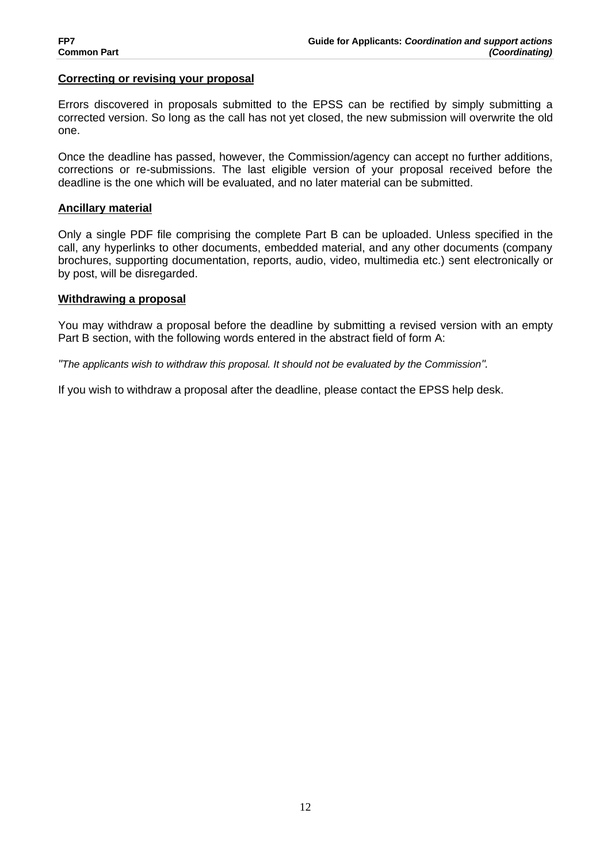#### **Correcting or revising your proposal**

Errors discovered in proposals submitted to the EPSS can be rectified by simply submitting a corrected version. So long as the call has not yet closed, the new submission will overwrite the old one.

Once the deadline has passed, however, the Commission/agency can accept no further additions, corrections or re-submissions. The last eligible version of your proposal received before the deadline is the one which will be evaluated, and no later material can be submitted.

#### **Ancillary material**

Only a single PDF file comprising the complete Part B can be uploaded. Unless specified in the call, any hyperlinks to other documents, embedded material, and any other documents (company brochures, supporting documentation, reports, audio, video, multimedia etc.) sent electronically or by post, will be disregarded.

#### **Withdrawing a proposal**

You may withdraw a proposal before the deadline by submitting a revised version with an empty Part B section, with the following words entered in the abstract field of form A:

*"The applicants wish to withdraw this proposal. It should not be evaluated by the Commission".*

If you wish to withdraw a proposal after the deadline, please contact the EPSS help desk.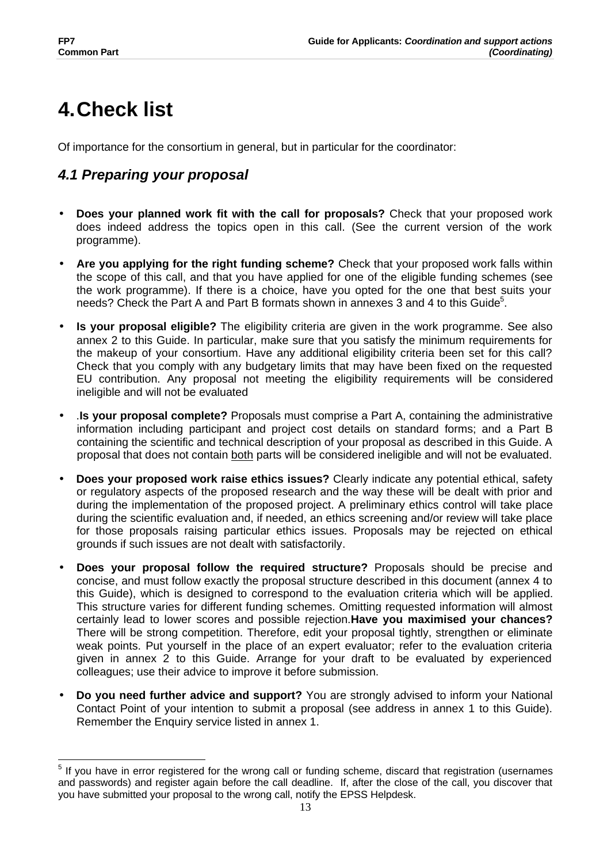# **4.Check list**

Of importance for the consortium in general, but in particular for the coordinator:

# *4.1 Preparing your proposal*

- **Does your planned work fit with the call for proposals?** Check that your proposed work does indeed address the topics open in this call. (See the current version of the work programme).
- **Are you applying for the right funding scheme?** Check that your proposed work falls within the scope of this call, and that you have applied for one of the eligible funding schemes (see the work programme). If there is a choice, have you opted for the one that best suits your needs? Check the Part A and Part B formats shown in annexes 3 and 4 to this Guide<sup>5</sup>.
- **Is your proposal eligible?** The eligibility criteria are given in the work programme. See also annex 2 to this Guide. In particular, make sure that you satisfy the minimum requirements for the makeup of your consortium. Have any additional eligibility criteria been set for this call? Check that you comply with any budgetary limits that may have been fixed on the requested EU contribution. Any proposal not meeting the eligibility requirements will be considered ineligible and will not be evaluated
- .**Is your proposal complete?** Proposals must comprise a Part A, containing the administrative information including participant and project cost details on standard forms; and a Part B containing the scientific and technical description of your proposal as described in this Guide. A proposal that does not contain both parts will be considered ineligible and will not be evaluated.
- **Does your proposed work raise ethics issues?** Clearly indicate any potential ethical, safety or regulatory aspects of the proposed research and the way these will be dealt with prior and during the implementation of the proposed project. A preliminary ethics control will take place during the scientific evaluation and, if needed, an ethics screening and/or review will take place for those proposals raising particular ethics issues. Proposals may be rejected on ethical grounds if such issues are not dealt with satisfactorily.
- **Does your proposal follow the required structure?** Proposals should be precise and concise, and must follow exactly the proposal structure described in this document (annex 4 to this Guide), which is designed to correspond to the evaluation criteria which will be applied. This structure varies for different funding schemes. Omitting requested information will almost certainly lead to lower scores and possible rejection.**Have you maximised your chances?** There will be strong competition. Therefore, edit your proposal tightly, strengthen or eliminate weak points. Put yourself in the place of an expert evaluator; refer to the evaluation criteria given in annex 2 to this Guide. Arrange for your draft to be evaluated by experienced colleagues; use their advice to improve it before submission.
- **Do you need further advice and support?** You are strongly advised to inform your National Contact Point of your intention to submit a proposal (see address in annex 1 to this Guide). Remember the Enquiry service listed in annex 1.

 $\overline{a}$ <sup>5</sup> If you have in error registered for the wrong call or funding scheme, discard that registration (usernames and passwords) and register again before the call deadline. If, after the close of the call, you discover that you have submitted your proposal to the wrong call, notify the EPSS Helpdesk.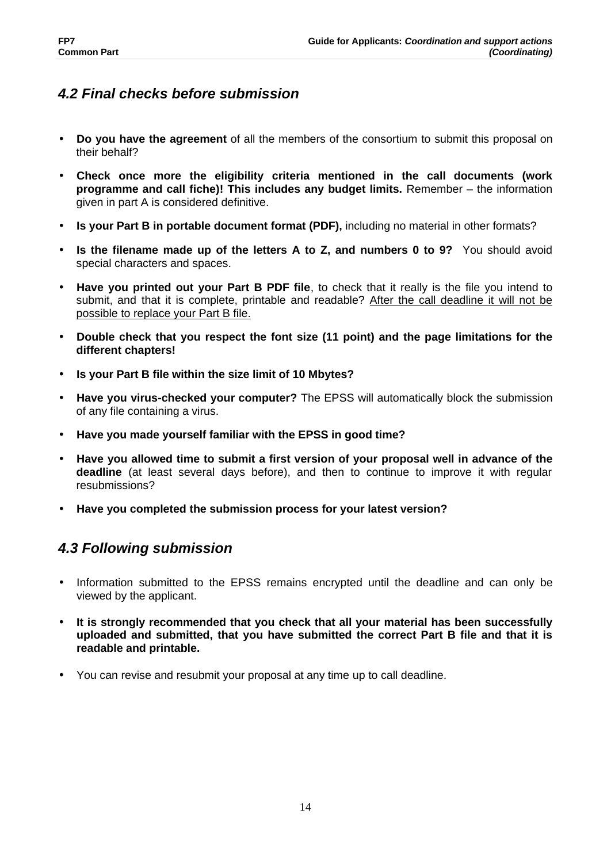# *4.2 Final checks before submission*

- **Do you have the agreement** of all the members of the consortium to submit this proposal on their behalf?
- **Check once more the eligibility criteria mentioned in the call documents (work programme and call fiche)! This includes any budget limits.** Remember – the information given in part A is considered definitive.
- **Is your Part B in portable document format (PDF),** including no material in other formats?
- **Is the filename made up of the letters A to Z, and numbers 0 to 9?** You should avoid special characters and spaces.
- **Have you printed out your Part B PDF file**, to check that it really is the file you intend to submit, and that it is complete, printable and readable? After the call deadline it will not be possible to replace your Part B file.
- **Double check that you respect the font size (11 point) and the page limitations for the different chapters!**
- **Is your Part B file within the size limit of 10 Mbytes?**
- **Have you virus-checked your computer?** The EPSS will automatically block the submission of any file containing a virus.
- **Have you made yourself familiar with the EPSS in good time?**
- **Have you allowed time to submit a first version of your proposal well in advance of the deadline** (at least several days before), and then to continue to improve it with regular resubmissions?
- **Have you completed the submission process for your latest version?**

# *4.3 Following submission*

- Information submitted to the EPSS remains encrypted until the deadline and can only be viewed by the applicant.
- **It is strongly recommended that you check that all your material has been successfully uploaded and submitted, that you have submitted the correct Part B file and that it is readable and printable.**
- You can revise and resubmit your proposal at any time up to call deadline.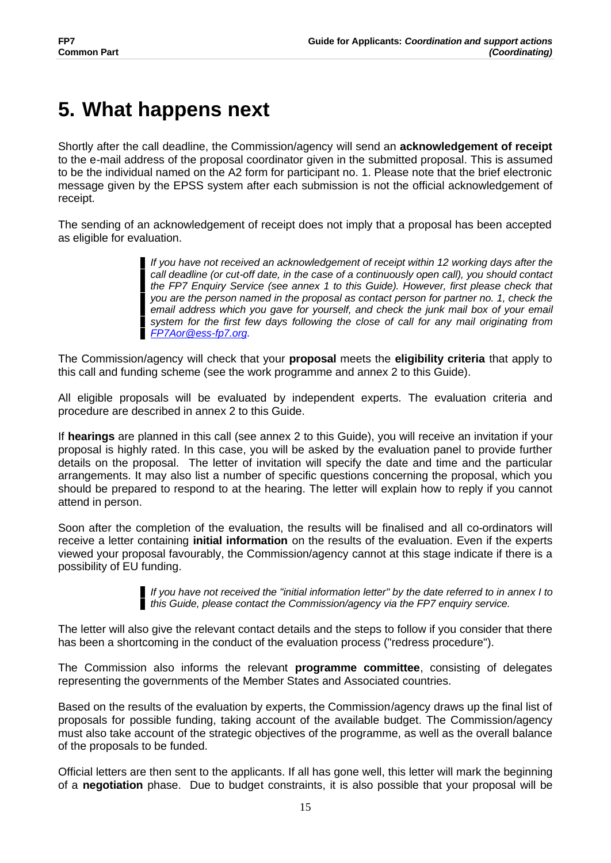# **5. What happens next**

Shortly after the call deadline, the Commission/agency will send an **acknowledgement of receipt** to the e-mail address of the proposal coordinator given in the submitted proposal. This is assumed to be the individual named on the A2 form for participant no. 1. Please note that the brief electronic message given by the EPSS system after each submission is not the official acknowledgement of receipt.

The sending of an acknowledgement of receipt does not imply that a proposal has been accepted as eligible for evaluation.

> *If you have not received an acknowledgement of receipt within 12 working days after the call deadline (or cut-off date, in the case of a continuously open call), you should contact the FP7 Enquiry Service (see annex 1 to this Guide). However, first please check that you are the person named in the proposal as contact person for partner no. 1, check the*  email address which you gave for yourself, and check the junk mail box of your email *system for the first few days following the close of call for any mail originating from FP7Aor@ess-fp7.org.*

The Commission/agency will check that your **proposal** meets the **eligibility criteria** that apply to this call and funding scheme (see the work programme and annex 2 to this Guide).

All eligible proposals will be evaluated by independent experts. The evaluation criteria and procedure are described in annex 2 to this Guide.

If **hearings** are planned in this call (see annex 2 to this Guide), you will receive an invitation if your proposal is highly rated. In this case, you will be asked by the evaluation panel to provide further details on the proposal. The letter of invitation will specify the date and time and the particular arrangements. It may also list a number of specific questions concerning the proposal, which you should be prepared to respond to at the hearing. The letter will explain how to reply if you cannot attend in person.

Soon after the completion of the evaluation, the results will be finalised and all co-ordinators will receive a letter containing **initial information** on the results of the evaluation. Even if the experts viewed your proposal favourably, the Commission/agency cannot at this stage indicate if there is a possibility of EU funding.

> *If you have not received the "initial information letter" by the date referred to in annex I to this Guide, please contact the Commission/agency via the FP7 enquiry service.*

The letter will also give the relevant contact details and the steps to follow if you consider that there has been a shortcoming in the conduct of the evaluation process ("redress procedure").

The Commission also informs the relevant **programme committee**, consisting of delegates representing the governments of the Member States and Associated countries.

Based on the results of the evaluation by experts, the Commission/agency draws up the final list of proposals for possible funding, taking account of the available budget. The Commission/agency must also take account of the strategic objectives of the programme, as well as the overall balance of the proposals to be funded.

Official letters are then sent to the applicants. If all has gone well, this letter will mark the beginning of a **negotiation** phase. Due to budget constraints, it is also possible that your proposal will be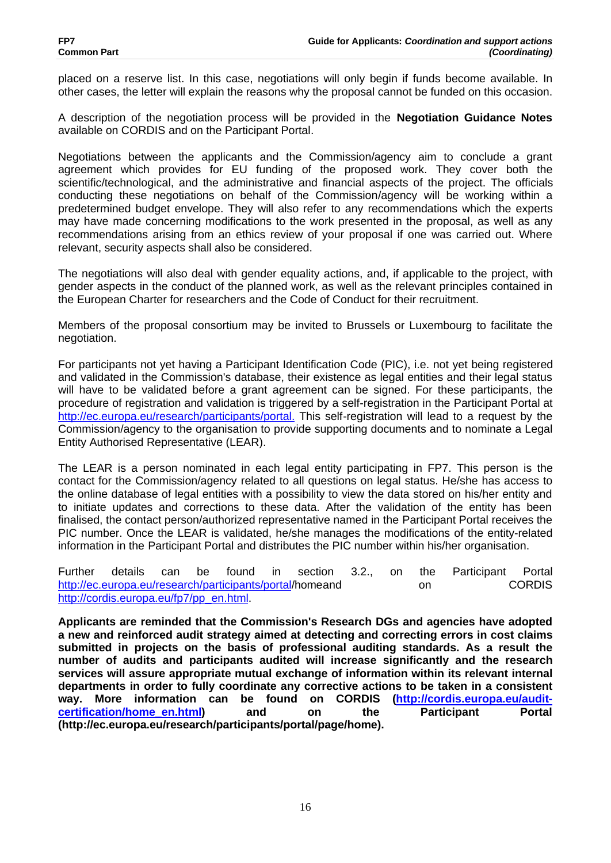placed on a reserve list. In this case, negotiations will only begin if funds become available. In other cases, the letter will explain the reasons why the proposal cannot be funded on this occasion.

A description of the negotiation process will be provided in the **Negotiation Guidance Notes** available on CORDIS and on the Participant Portal.

Negotiations between the applicants and the Commission/agency aim to conclude a grant agreement which provides for EU funding of the proposed work. They cover both the scientific/technological, and the administrative and financial aspects of the project. The officials conducting these negotiations on behalf of the Commission/agency will be working within a predetermined budget envelope. They will also refer to any recommendations which the experts may have made concerning modifications to the work presented in the proposal, as well as any recommendations arising from an ethics review of your proposal if one was carried out. Where relevant, security aspects shall also be considered.

The negotiations will also deal with gender equality actions, and, if applicable to the project, with gender aspects in the conduct of the planned work, as well as the relevant principles contained in the European Charter for researchers and the Code of Conduct for their recruitment.

Members of the proposal consortium may be invited to Brussels or Luxembourg to facilitate the negotiation.

For participants not yet having a Participant Identification Code (PIC), i.e. not yet being registered and validated in the Commission's database, their existence as legal entities and their legal status will have to be validated before a grant agreement can be signed. For these participants, the procedure of registration and validation is triggered by a self-registration in the Participant Portal at http://ec.europa.eu/research/participants/portal. This self-registration will lead to a request by the Commission/agency to the organisation to provide supporting documents and to nominate a Legal Entity Authorised Representative (LEAR).

The LEAR is a person nominated in each legal entity participating in FP7. This person is the contact for the Commission/agency related to all questions on legal status. He/she has access to the online database of legal entities with a possibility to view the data stored on his/her entity and to initiate updates and corrections to these data. After the validation of the entity has been finalised, the contact person/authorized representative named in the Participant Portal receives the PIC number. Once the LEAR is validated, he/she manages the modifications of the entity-related information in the Participant Portal and distributes the PIC number within his/her organisation.

Further details can be found in section 3.2., on the Participant Portal http://ec.europa.eu/research/participants/portal/homeand on CORDIS http://cordis.europa.eu/fp7/pp\_en.html.

**Applicants are reminded that the Commission's Research DGs and agencies have adopted a new and reinforced audit strategy aimed at detecting and correcting errors in cost claims submitted in projects on the basis of professional auditing standards. As a result the number of audits and participants audited will increase significantly and the research services will assure appropriate mutual exchange of information within its relevant internal departments in order to fully coordinate any corrective actions to be taken in a consistent way. More information can be found on CORDIS (http://cordis.europa.eu/auditcertification/home\_en.html) and on the Participant Portal (http://ec.europa.eu/research/participants/portal/page/home).**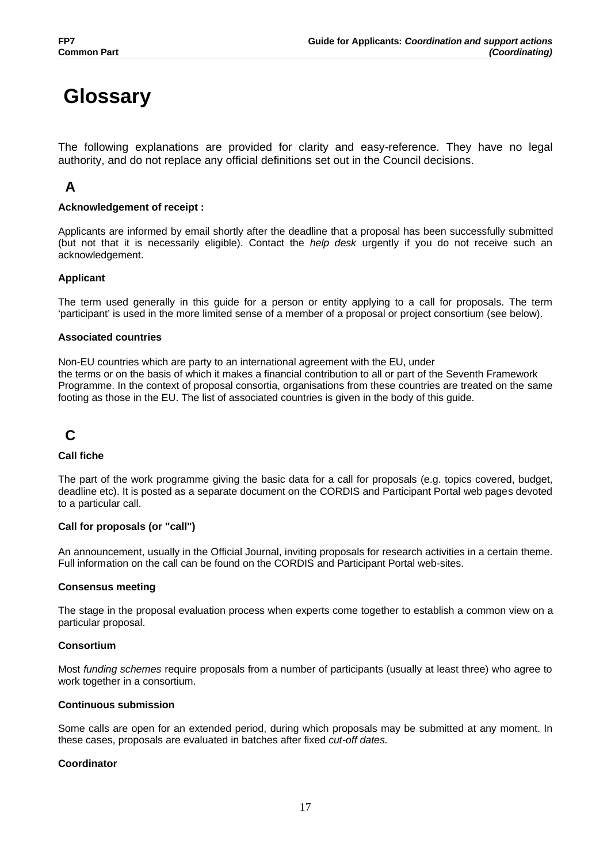# **Glossary**

The following explanations are provided for clarity and easy-reference. They have no legal authority, and do not replace any official definitions set out in the Council decisions.

# **A**

### **Acknowledgement of receipt :**

Applicants are informed by email shortly after the deadline that a proposal has been successfully submitted (but not that it is necessarily eligible). Contact the *help desk* urgently if you do not receive such an acknowledgement.

#### **Applicant**

The term used generally in this guide for a person or entity applying to a call for proposals. The term 'participant' is used in the more limited sense of a member of a proposal or project consortium (see below).

#### **Associated countries**

Non-EU countries which are party to an international agreement with the EU, under the terms or on the basis of which it makes a financial contribution to all or part of the Seventh Framework Programme. In the context of proposal consortia, organisations from these countries are treated on the same footing as those in the EU. The list of associated countries is given in the body of this guide.

# **C**

#### **Call fiche**

The part of the work programme giving the basic data for a call for proposals (e.g. topics covered, budget, deadline etc). It is posted as a separate document on the CORDIS and Participant Portal web pages devoted to a particular call.

#### **Call for proposals (or "call")**

An announcement, usually in the Official Journal, inviting proposals for research activities in a certain theme. Full information on the call can be found on the CORDIS and Participant Portal web-sites.

#### **Consensus meeting**

The stage in the proposal evaluation process when experts come together to establish a common view on a particular proposal.

#### **Consortium**

Most *funding schemes* require proposals from a number of participants (usually at least three) who agree to work together in a consortium.

#### **Continuous submission**

Some calls are open for an extended period, during which proposals may be submitted at any moment. In these cases, proposals are evaluated in batches after fixed *cut-off dates.*

#### **Coordinator**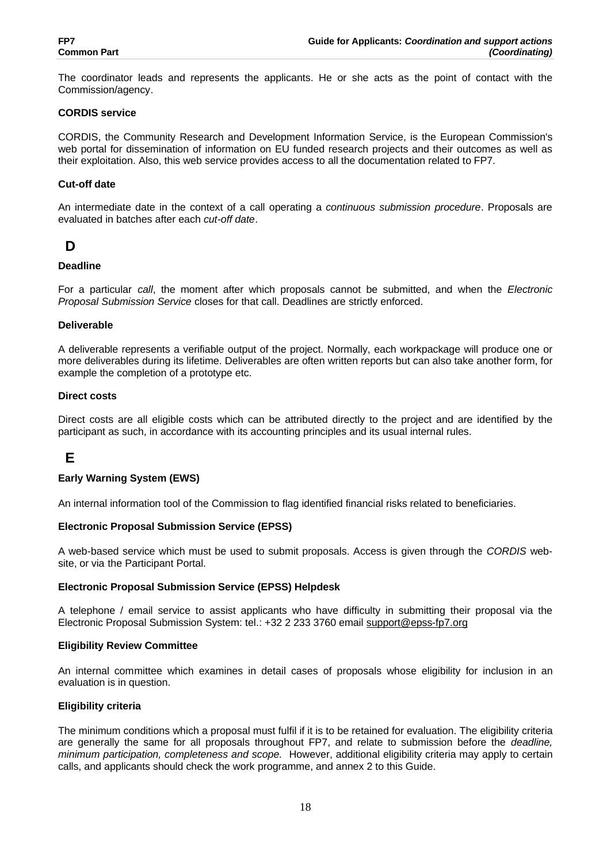The coordinator leads and represents the applicants. He or she acts as the point of contact with the Commission/agency.

#### **CORDIS service**

CORDIS, the Community Research and Development Information Service, is the European Commission's web portal for dissemination of information on EU funded research projects and their outcomes as well as their exploitation. Also, this web service provides access to all the documentation related to FP7.

#### **Cut-off date**

An intermediate date in the context of a call operating a *continuous submission procedure*. Proposals are evaluated in batches after each *cut-off date*.

# **D**

#### **Deadline**

For a particular *call*, the moment after which proposals cannot be submitted, and when the *Electronic Proposal Submission Service* closes for that call. Deadlines are strictly enforced.

#### **Deliverable**

A deliverable represents a verifiable output of the project. Normally, each workpackage will produce one or more deliverables during its lifetime. Deliverables are often written reports but can also take another form, for example the completion of a prototype etc.

#### **Direct costs**

Direct costs are all eligible costs which can be attributed directly to the project and are identified by the participant as such, in accordance with its accounting principles and its usual internal rules.

# **E**

#### **Early Warning System (EWS)**

An internal information tool of the Commission to flag identified financial risks related to beneficiaries.

#### **Electronic Proposal Submission Service (EPSS)**

A web-based service which must be used to submit proposals. Access is given through the *CORDIS* website, or via the Participant Portal.

#### **Electronic Proposal Submission Service (EPSS) Helpdesk**

A telephone / email service to assist applicants who have difficulty in submitting their proposal via the Electronic Proposal Submission System: tel.: +32 2 233 3760 email support@epss-fp7.org

#### **Eligibility Review Committee**

An internal committee which examines in detail cases of proposals whose eligibility for inclusion in an evaluation is in question.

#### **Eligibility criteria**

The minimum conditions which a proposal must fulfil if it is to be retained for evaluation. The eligibility criteria are generally the same for all proposals throughout FP7, and relate to submission before the *deadline, minimum participation, completeness and scope.* However, additional eligibility criteria may apply to certain calls, and applicants should check the work programme, and annex 2 to this Guide.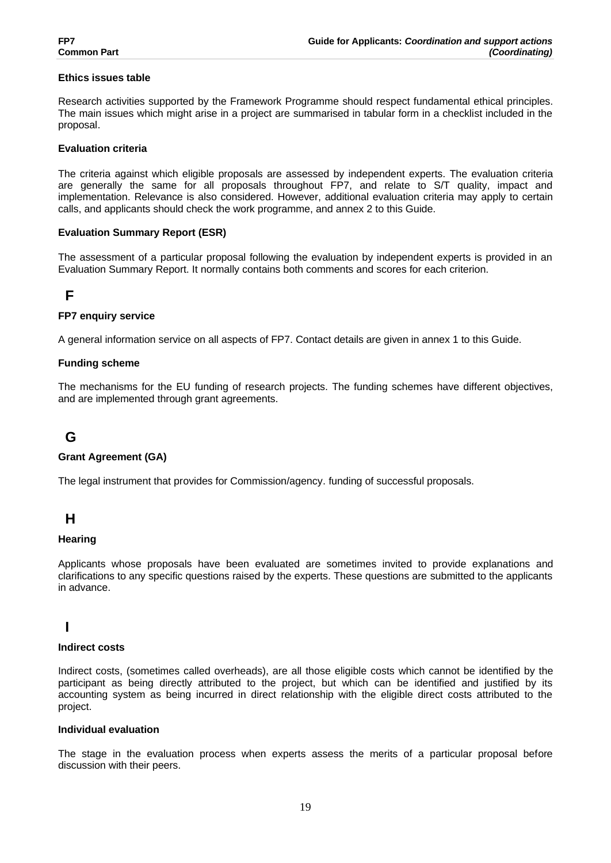#### **Ethics issues table**

Research activities supported by the Framework Programme should respect fundamental ethical principles. The main issues which might arise in a project are summarised in tabular form in a checklist included in the proposal.

#### **Evaluation criteria**

The criteria against which eligible proposals are assessed by independent experts. The evaluation criteria are generally the same for all proposals throughout FP7, and relate to S/T quality, impact and implementation. Relevance is also considered. However, additional evaluation criteria may apply to certain calls, and applicants should check the work programme, and annex 2 to this Guide.

#### **Evaluation Summary Report (ESR)**

The assessment of a particular proposal following the evaluation by independent experts is provided in an Evaluation Summary Report. It normally contains both comments and scores for each criterion.

# **F**

#### **FP7 enquiry service**

A general information service on all aspects of FP7. Contact details are given in annex 1 to this Guide.

#### **Funding scheme**

The mechanisms for the EU funding of research projects. The funding schemes have different objectives, and are implemented through grant agreements.

# **G**

#### **Grant Agreement (GA)**

The legal instrument that provides for Commission/agency. funding of successful proposals.

# **H**

#### **Hearing**

Applicants whose proposals have been evaluated are sometimes invited to provide explanations and clarifications to any specific questions raised by the experts. These questions are submitted to the applicants in advance.

# **I**

#### **Indirect costs**

Indirect costs, (sometimes called overheads), are all those eligible costs which cannot be identified by the participant as being directly attributed to the project, but which can be identified and justified by its accounting system as being incurred in direct relationship with the eligible direct costs attributed to the project.

#### **Individual evaluation**

The stage in the evaluation process when experts assess the merits of a particular proposal before discussion with their peers.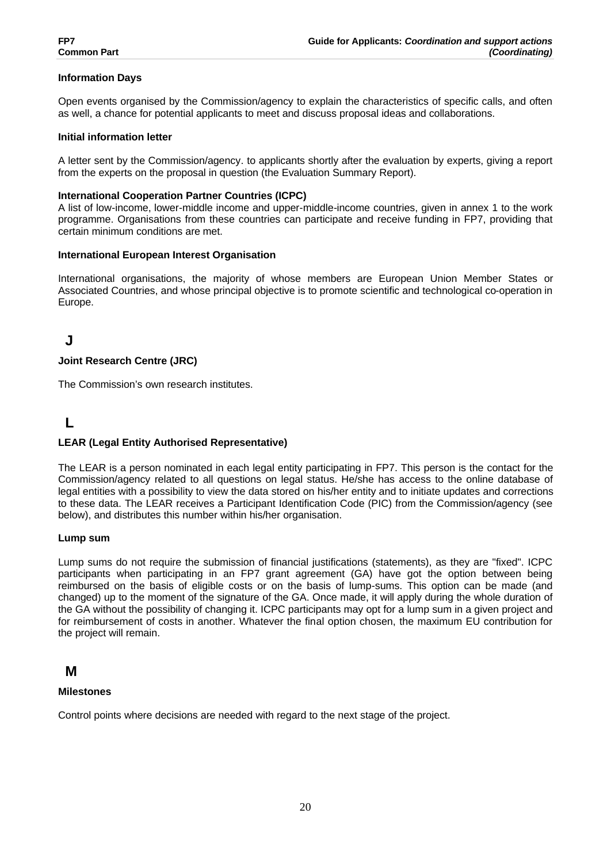### **Information Days**

Open events organised by the Commission/agency to explain the characteristics of specific calls, and often as well, a chance for potential applicants to meet and discuss proposal ideas and collaborations.

#### **Initial information letter**

A letter sent by the Commission/agency. to applicants shortly after the evaluation by experts, giving a report from the experts on the proposal in question (the Evaluation Summary Report).

#### **International Cooperation Partner Countries (ICPC)**

A list of low-income, lower-middle income and upper-middle-income countries, given in annex 1 to the work programme. Organisations from these countries can participate and receive funding in FP7, providing that certain minimum conditions are met.

#### **International European Interest Organisation**

International organisations, the majority of whose members are European Union Member States or Associated Countries, and whose principal objective is to promote scientific and technological co-operation in Europe.

# **J**

#### **Joint Research Centre (JRC)**

The Commission's own research institutes.

# **L**

#### **LEAR (Legal Entity Authorised Representative)**

The LEAR is a person nominated in each legal entity participating in FP7. This person is the contact for the Commission/agency related to all questions on legal status. He/she has access to the online database of legal entities with a possibility to view the data stored on his/her entity and to initiate updates and corrections to these data. The LEAR receives a Participant Identification Code (PIC) from the Commission/agency (see below), and distributes this number within his/her organisation.

#### **Lump sum**

Lump sums do not require the submission of financial justifications (statements), as they are "fixed". ICPC participants when participating in an FP7 grant agreement (GA) have got the option between being reimbursed on the basis of eligible costs or on the basis of lump-sums. This option can be made (and changed) up to the moment of the signature of the GA. Once made, it will apply during the whole duration of the GA without the possibility of changing it. ICPC participants may opt for a lump sum in a given project and for reimbursement of costs in another. Whatever the final option chosen, the maximum EU contribution for the project will remain.

## **M**

#### **Milestones**

Control points where decisions are needed with regard to the next stage of the project.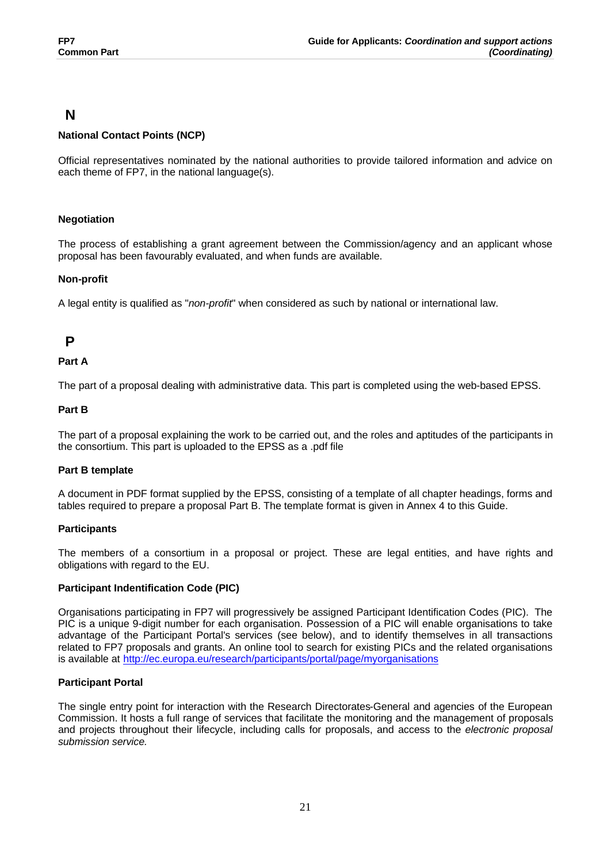# **N**

## **National Contact Points (NCP)**

Official representatives nominated by the national authorities to provide tailored information and advice on each theme of FP7, in the national language(s).

## **Negotiation**

The process of establishing a grant agreement between the Commission/agency and an applicant whose proposal has been favourably evaluated, and when funds are available.

## **Non-profit**

A legal entity is qualified as "*non-profit*" when considered as such by national or international law.

# **P**

## **Part A**

The part of a proposal dealing with administrative data. This part is completed using the web-based EPSS.

## **Part B**

The part of a proposal explaining the work to be carried out, and the roles and aptitudes of the participants in the consortium. This part is uploaded to the EPSS as a .pdf file

## **Part B template**

A document in PDF format supplied by the EPSS, consisting of a template of all chapter headings, forms and tables required to prepare a proposal Part B. The template format is given in Annex 4 to this Guide.

## **Participants**

The members of a consortium in a proposal or project. These are legal entities, and have rights and obligations with regard to the EU.

## **Participant Indentification Code (PIC)**

Organisations participating in FP7 will progressively be assigned Participant Identification Codes (PIC). The PIC is a unique 9-digit number for each organisation. Possession of a PIC will enable organisations to take advantage of the Participant Portal's services (see below), and to identify themselves in all transactions related to FP7 proposals and grants. An online tool to search for existing PICs and the related organisations is available at http://ec.europa.eu/research/participants/portal/page/myorganisations

## **Participant Portal**

The single entry point for interaction with the Research Directorates-General and agencies of the European Commission. It hosts a full range of services that facilitate the monitoring and the management of proposals and projects throughout their lifecycle, including calls for proposals, and access to the *electronic proposal submission service.*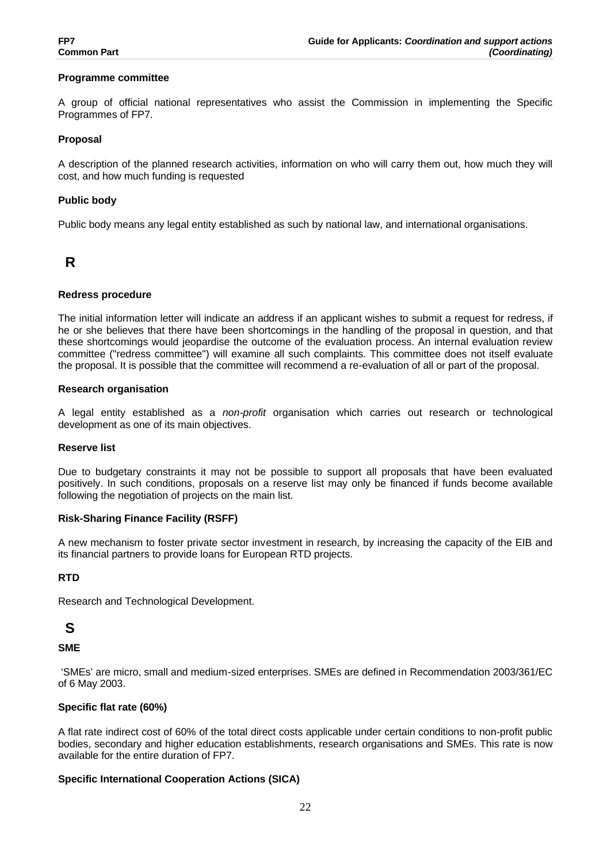#### **Programme committee**

A group of official national representatives who assist the Commission in implementing the Specific Programmes of FP7.

#### **Proposal**

A description of the planned research activities, information on who will carry them out, how much they will cost, and how much funding is requested

#### **Public body**

Public body means any legal entity established as such by national law, and international organisations.

# **R**

#### **Redress procedure**

The initial information letter will indicate an address if an applicant wishes to submit a request for redress, if he or she believes that there have been shortcomings in the handling of the proposal in question, and that these shortcomings would jeopardise the outcome of the evaluation process. An internal evaluation review committee ("redress committee") will examine all such complaints. This committee does not itself evaluate the proposal. It is possible that the committee will recommend a re-evaluation of all or part of the proposal.

#### **Research organisation**

A legal entity established as a *non-profit* organisation which carries out research or technological development as one of its main objectives.

#### **Reserve list**

Due to budgetary constraints it may not be possible to support all proposals that have been evaluated positively. In such conditions, proposals on a reserve list may only be financed if funds become available following the negotiation of projects on the main list.

#### **Risk-Sharing Finance Facility (RSFF)**

A new mechanism to foster private sector investment in research, by increasing the capacity of the EIB and its financial partners to provide loans for European RTD projects.

#### **RTD**

Research and Technological Development.

# **S**

#### **SME**

 'SMEs' are micro, small and medium-sized enterprises. SMEs are defined in Recommendation 2003/361/EC of 6 May 2003.

#### **Specific flat rate (60%)**

A flat rate indirect cost of 60% of the total direct costs applicable under certain conditions to non-profit public bodies, secondary and higher education establishments, research organisations and SMEs. This rate is now available for the entire duration of FP7.

#### **Specific International Cooperation Actions (SICA)**